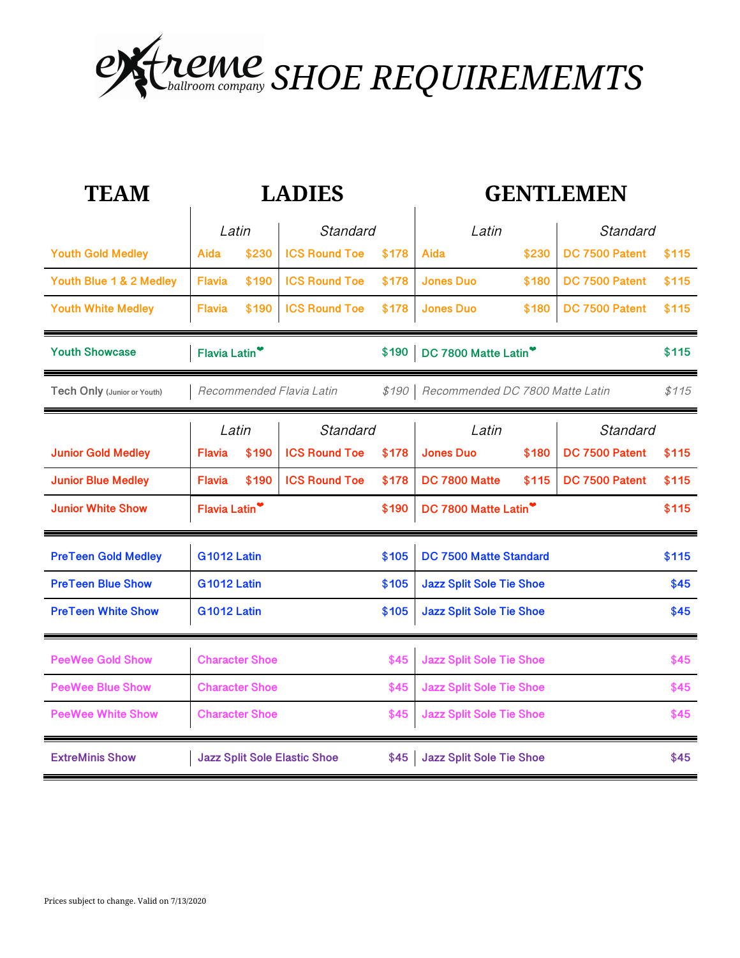

| <b>TEAM</b>                 | <b>LADIES</b>                               |                       |                      |       | <b>GENTLEMEN</b>                |       |                |       |
|-----------------------------|---------------------------------------------|-----------------------|----------------------|-------|---------------------------------|-------|----------------|-------|
|                             | Latin                                       |                       | Standard             |       | Latin                           |       | Standard       |       |
| <b>Youth Gold Medley</b>    | Aida                                        | \$230                 | <b>ICS Round Toe</b> | \$178 | Aida                            | \$230 | DC 7500 Patent | \$115 |
| Youth Blue 1 & 2 Medley     | <b>Flavia</b>                               | \$190                 | <b>ICS Round Toe</b> | \$178 | <b>Jones Duo</b>                | \$180 | DC 7500 Patent | \$115 |
| <b>Youth White Medley</b>   | <b>Flavia</b>                               | \$190                 | <b>ICS Round Toe</b> | \$178 | <b>Jones Duo</b>                | \$180 | DC 7500 Patent | \$115 |
| <b>Youth Showcase</b>       | Flavia Latin <sup>*</sup><br>\$190          |                       |                      |       | DC 7800 Matte Latin             |       |                | \$115 |
| Tech Only (Junior or Youth) | Recommended Flavia Latin<br>\$190           |                       |                      |       | Recommended DC 7800 Matte Latin |       |                | \$115 |
|                             | Latin<br>Standard                           |                       |                      |       | Latin                           |       | Standard       |       |
| <b>Junior Gold Medley</b>   | <b>Flavia</b>                               | \$190                 | <b>ICS Round Toe</b> | \$178 | <b>Jones Duo</b>                | \$180 | DC 7500 Patent | \$115 |
| <b>Junior Blue Medley</b>   | <b>Flavia</b>                               | \$190                 | <b>ICS Round Toe</b> | \$178 | DC 7800 Matte                   | \$115 | DC 7500 Patent | \$115 |
| <b>Junior White Show</b>    | Flavia Latin <sup>*</sup><br>\$190          |                       |                      |       | DC 7800 Matte Latin             |       |                | \$115 |
| <b>PreTeen Gold Medley</b>  | <b>G1012 Latin</b>                          |                       |                      | \$105 | DC 7500 Matte Standard          |       |                | \$115 |
| <b>PreTeen Blue Show</b>    | <b>G1012 Latin</b>                          |                       |                      | \$105 | <b>Jazz Split Sole Tie Shoe</b> |       |                | \$45  |
| <b>PreTeen White Show</b>   | <b>G1012 Latin</b><br>\$105                 |                       |                      |       | <b>Jazz Split Sole Tie Shoe</b> |       |                | \$45  |
| <b>PeeWee Gold Show</b>     | <b>Character Shoe</b>                       |                       |                      | \$45  | <b>Jazz Split Sole Tie Shoe</b> |       |                | \$45  |
| <b>PeeWee Blue Show</b>     |                                             | <b>Character Shoe</b> |                      | \$45  | <b>Jazz Split Sole Tie Shoe</b> |       |                | \$45  |
| <b>PeeWee White Show</b>    | <b>Character Shoe</b>                       |                       |                      |       | <b>Jazz Split Sole Tie Shoe</b> |       |                | \$45  |
| <b>ExtreMinis Show</b>      | <b>Jazz Split Sole Elastic Shoe</b><br>\$45 |                       |                      |       | <b>Jazz Split Sole Tie Shoe</b> |       |                | \$45  |